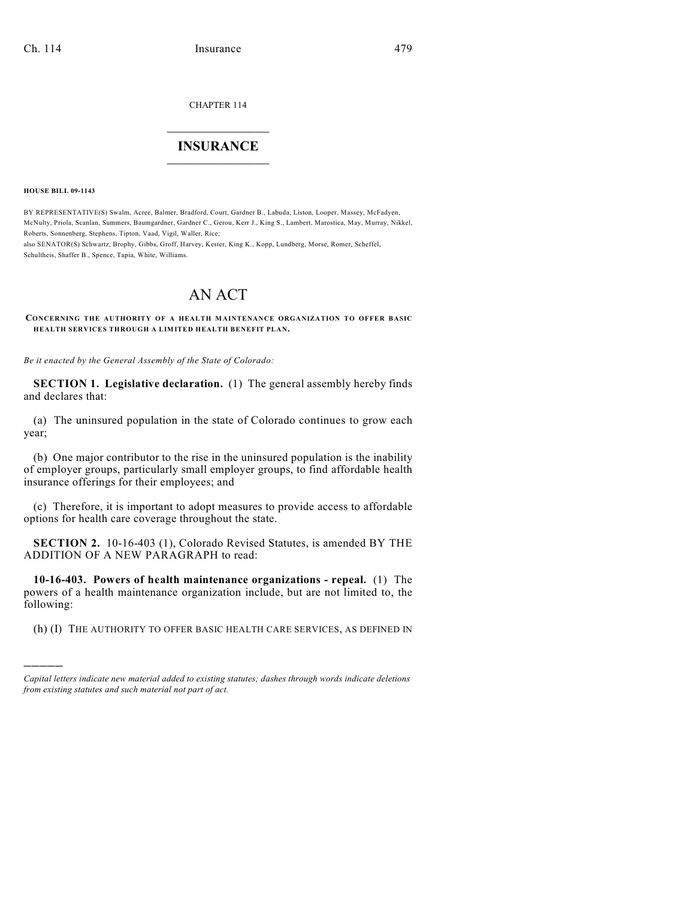CHAPTER 114

## $\mathcal{L}_\text{max}$  . The set of the set of the set of the set of the set of the set of the set of the set of the set of the set of the set of the set of the set of the set of the set of the set of the set of the set of the set **INSURANCE**  $\frac{1}{2}$  ,  $\frac{1}{2}$  ,  $\frac{1}{2}$  ,  $\frac{1}{2}$  ,  $\frac{1}{2}$  ,  $\frac{1}{2}$  ,  $\frac{1}{2}$

**HOUSE BILL 09-1143**

)))))

BY REPRESENTATIVE(S) Swalm, Acree, Balmer, Bradford, Court, Gardner B., Labuda, Liston, Looper, Massey, McFadyen, McNulty, Priola, Scanlan, Summers, Baumgardner, Gardner C., Gerou, Kerr J., King S., Lambert, Marostica, May, Murray, Nikkel, Roberts, Sonnenberg, Stephens, Tipton, Vaad, Vigil, Waller, Rice; also SENATOR(S) Schwartz, Brophy, Gibbs, Groff, Harvey, Kester, King K., Kopp, Lundberg, Morse, Romer, Scheffel, Schultheis, Shaffer B., Spence, Tapia, White, Williams.

# AN ACT

**CONCERNING THE AUTHORITY OF A HEALTH MAINTENANCE ORGANIZATION TO OFFER BASIC HEALTH SERVICES THROUGH A LIMITED HEALTH BENEFIT PLAN.**

*Be it enacted by the General Assembly of the State of Colorado:*

**SECTION 1. Legislative declaration.** (1) The general assembly hereby finds and declares that:

(a) The uninsured population in the state of Colorado continues to grow each year;

(b) One major contributor to the rise in the uninsured population is the inability of employer groups, particularly small employer groups, to find affordable health insurance offerings for their employees; and

(c) Therefore, it is important to adopt measures to provide access to affordable options for health care coverage throughout the state.

**SECTION 2.** 10-16-403 (1), Colorado Revised Statutes, is amended BY THE ADDITION OF A NEW PARAGRAPH to read:

**10-16-403. Powers of health maintenance organizations - repeal.** (1) The powers of a health maintenance organization include, but are not limited to, the following:

(h) (I) THE AUTHORITY TO OFFER BASIC HEALTH CARE SERVICES, AS DEFINED IN

*Capital letters indicate new material added to existing statutes; dashes through words indicate deletions from existing statutes and such material not part of act.*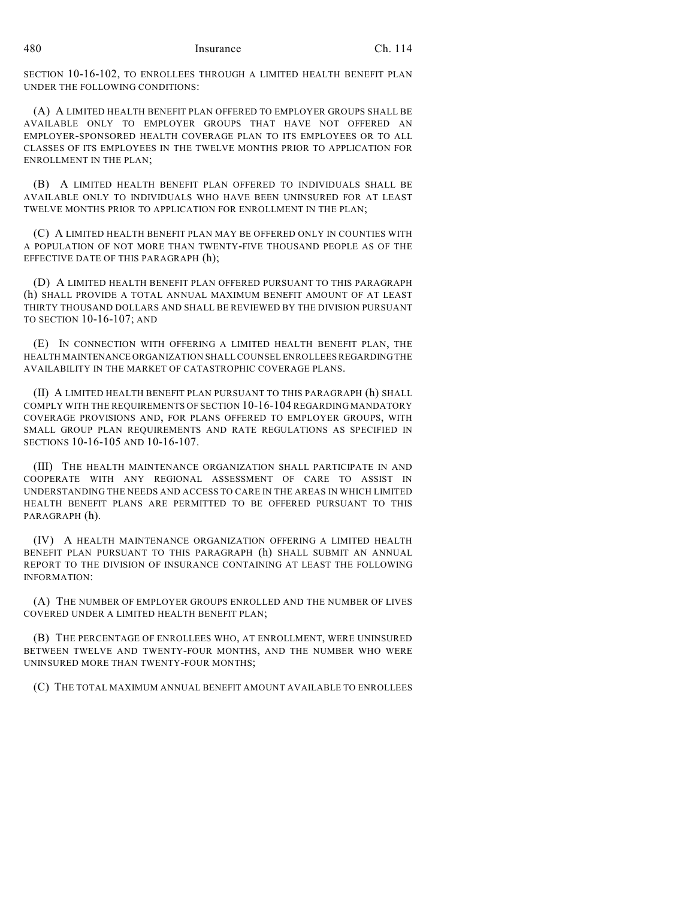SECTION 10-16-102, TO ENROLLEES THROUGH A LIMITED HEALTH BENEFIT PLAN UNDER THE FOLLOWING CONDITIONS:

(A) A LIMITED HEALTH BENEFIT PLAN OFFERED TO EMPLOYER GROUPS SHALL BE AVAILABLE ONLY TO EMPLOYER GROUPS THAT HAVE NOT OFFERED AN EMPLOYER-SPONSORED HEALTH COVERAGE PLAN TO ITS EMPLOYEES OR TO ALL CLASSES OF ITS EMPLOYEES IN THE TWELVE MONTHS PRIOR TO APPLICATION FOR ENROLLMENT IN THE PLAN;

(B) A LIMITED HEALTH BENEFIT PLAN OFFERED TO INDIVIDUALS SHALL BE AVAILABLE ONLY TO INDIVIDUALS WHO HAVE BEEN UNINSURED FOR AT LEAST TWELVE MONTHS PRIOR TO APPLICATION FOR ENROLLMENT IN THE PLAN;

(C) A LIMITED HEALTH BENEFIT PLAN MAY BE OFFERED ONLY IN COUNTIES WITH A POPULATION OF NOT MORE THAN TWENTY-FIVE THOUSAND PEOPLE AS OF THE EFFECTIVE DATE OF THIS PARAGRAPH (h);

(D) A LIMITED HEALTH BENEFIT PLAN OFFERED PURSUANT TO THIS PARAGRAPH (h) SHALL PROVIDE A TOTAL ANNUAL MAXIMUM BENEFIT AMOUNT OF AT LEAST THIRTY THOUSAND DOLLARS AND SHALL BE REVIEWED BY THE DIVISION PURSUANT TO SECTION 10-16-107; AND

(E) IN CONNECTION WITH OFFERING A LIMITED HEALTH BENEFIT PLAN, THE HEALTH MAINTENANCE ORGANIZATION SHALL COUNSEL ENROLLEES REGARDING THE AVAILABILITY IN THE MARKET OF CATASTROPHIC COVERAGE PLANS.

(II) A LIMITED HEALTH BENEFIT PLAN PURSUANT TO THIS PARAGRAPH (h) SHALL COMPLY WITH THE REQUIREMENTS OF SECTION 10-16-104 REGARDING MANDATORY COVERAGE PROVISIONS AND, FOR PLANS OFFERED TO EMPLOYER GROUPS, WITH SMALL GROUP PLAN REQUIREMENTS AND RATE REGULATIONS AS SPECIFIED IN SECTIONS 10-16-105 AND 10-16-107.

(III) THE HEALTH MAINTENANCE ORGANIZATION SHALL PARTICIPATE IN AND COOPERATE WITH ANY REGIONAL ASSESSMENT OF CARE TO ASSIST IN UNDERSTANDING THE NEEDS AND ACCESS TO CARE IN THE AREAS IN WHICH LIMITED HEALTH BENEFIT PLANS ARE PERMITTED TO BE OFFERED PURSUANT TO THIS PARAGRAPH (h).

(IV) A HEALTH MAINTENANCE ORGANIZATION OFFERING A LIMITED HEALTH BENEFIT PLAN PURSUANT TO THIS PARAGRAPH (h) SHALL SUBMIT AN ANNUAL REPORT TO THE DIVISION OF INSURANCE CONTAINING AT LEAST THE FOLLOWING INFORMATION:

(A) THE NUMBER OF EMPLOYER GROUPS ENROLLED AND THE NUMBER OF LIVES COVERED UNDER A LIMITED HEALTH BENEFIT PLAN;

(B) THE PERCENTAGE OF ENROLLEES WHO, AT ENROLLMENT, WERE UNINSURED BETWEEN TWELVE AND TWENTY-FOUR MONTHS, AND THE NUMBER WHO WERE UNINSURED MORE THAN TWENTY-FOUR MONTHS;

(C) THE TOTAL MAXIMUM ANNUAL BENEFIT AMOUNT AVAILABLE TO ENROLLEES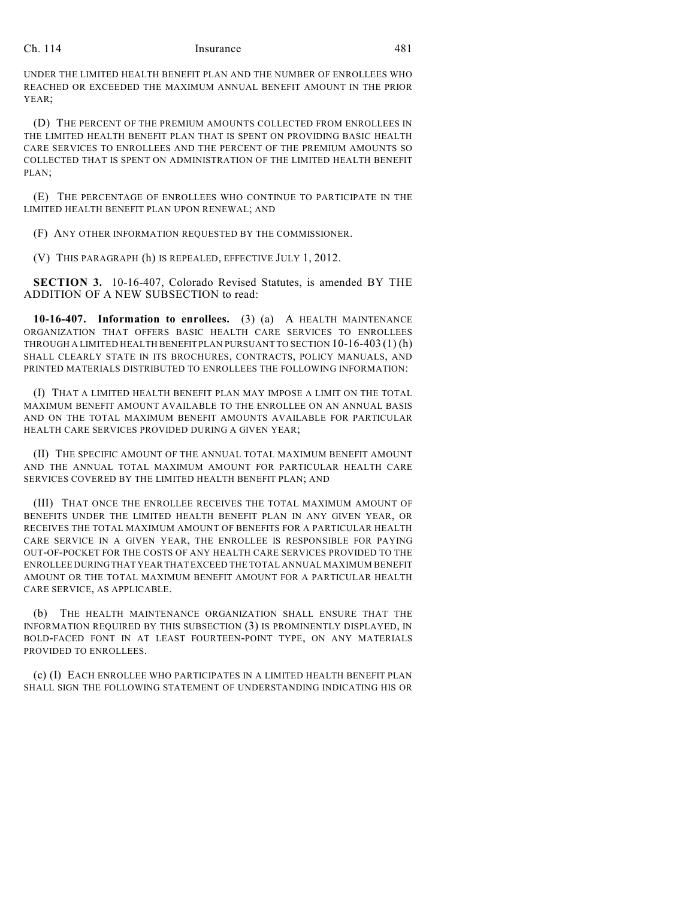#### Ch. 114 Insurance 481

UNDER THE LIMITED HEALTH BENEFIT PLAN AND THE NUMBER OF ENROLLEES WHO REACHED OR EXCEEDED THE MAXIMUM ANNUAL BENEFIT AMOUNT IN THE PRIOR YEAR;

(D) THE PERCENT OF THE PREMIUM AMOUNTS COLLECTED FROM ENROLLEES IN THE LIMITED HEALTH BENEFIT PLAN THAT IS SPENT ON PROVIDING BASIC HEALTH CARE SERVICES TO ENROLLEES AND THE PERCENT OF THE PREMIUM AMOUNTS SO COLLECTED THAT IS SPENT ON ADMINISTRATION OF THE LIMITED HEALTH BENEFIT PLAN;

(E) THE PERCENTAGE OF ENROLLEES WHO CONTINUE TO PARTICIPATE IN THE LIMITED HEALTH BENEFIT PLAN UPON RENEWAL; AND

(F) ANY OTHER INFORMATION REQUESTED BY THE COMMISSIONER.

(V) THIS PARAGRAPH (h) IS REPEALED, EFFECTIVE JULY 1, 2012.

**SECTION 3.** 10-16-407, Colorado Revised Statutes, is amended BY THE ADDITION OF A NEW SUBSECTION to read:

**10-16-407. Information to enrollees.** (3) (a) A HEALTH MAINTENANCE ORGANIZATION THAT OFFERS BASIC HEALTH CARE SERVICES TO ENROLLEES THROUGH A LIMITED HEALTH BENEFIT PLAN PURSUANT TO SECTION 10-16-403 (1) (h) SHALL CLEARLY STATE IN ITS BROCHURES, CONTRACTS, POLICY MANUALS, AND PRINTED MATERIALS DISTRIBUTED TO ENROLLEES THE FOLLOWING INFORMATION:

(I) THAT A LIMITED HEALTH BENEFIT PLAN MAY IMPOSE A LIMIT ON THE TOTAL MAXIMUM BENEFIT AMOUNT AVAILABLE TO THE ENROLLEE ON AN ANNUAL BASIS AND ON THE TOTAL MAXIMUM BENEFIT AMOUNTS AVAILABLE FOR PARTICULAR HEALTH CARE SERVICES PROVIDED DURING A GIVEN YEAR;

(II) THE SPECIFIC AMOUNT OF THE ANNUAL TOTAL MAXIMUM BENEFIT AMOUNT AND THE ANNUAL TOTAL MAXIMUM AMOUNT FOR PARTICULAR HEALTH CARE SERVICES COVERED BY THE LIMITED HEALTH BENEFIT PLAN; AND

(III) THAT ONCE THE ENROLLEE RECEIVES THE TOTAL MAXIMUM AMOUNT OF BENEFITS UNDER THE LIMITED HEALTH BENEFIT PLAN IN ANY GIVEN YEAR, OR RECEIVES THE TOTAL MAXIMUM AMOUNT OF BENEFITS FOR A PARTICULAR HEALTH CARE SERVICE IN A GIVEN YEAR, THE ENROLLEE IS RESPONSIBLE FOR PAYING OUT-OF-POCKET FOR THE COSTS OF ANY HEALTH CARE SERVICES PROVIDED TO THE ENROLLEE DURING THAT YEAR THAT EXCEED THE TOTAL ANNUAL MAXIMUM BENEFIT AMOUNT OR THE TOTAL MAXIMUM BENEFIT AMOUNT FOR A PARTICULAR HEALTH CARE SERVICE, AS APPLICABLE.

(b) THE HEALTH MAINTENANCE ORGANIZATION SHALL ENSURE THAT THE INFORMATION REQUIRED BY THIS SUBSECTION (3) IS PROMINENTLY DISPLAYED, IN BOLD-FACED FONT IN AT LEAST FOURTEEN-POINT TYPE, ON ANY MATERIALS PROVIDED TO ENROLLEES.

(c) (I) EACH ENROLLEE WHO PARTICIPATES IN A LIMITED HEALTH BENEFIT PLAN SHALL SIGN THE FOLLOWING STATEMENT OF UNDERSTANDING INDICATING HIS OR